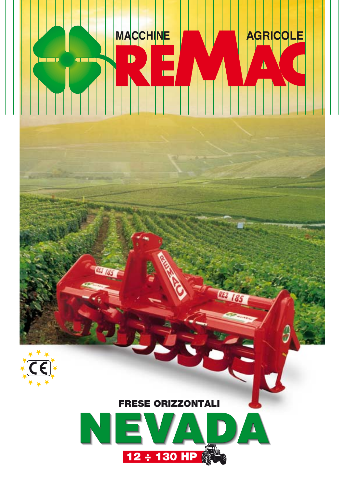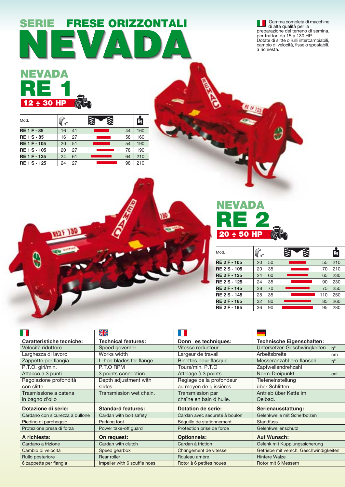## **SERIE FRESE ORIZZONTALI**  $\mathbf{E}$  $\sqrt{2}$  $\frac{1}{2}$

**Gamma completa di macchine** di alta qualità per la preparazione del terreno di semina, per trattori da 15 a 130 HP. Dotate di slitte o rulli intercambiabili, cambio di velocità, fisse o spostabili, a richiesta.

### **NEVADA RE 1 12 ÷ 30 HP B**

| Mod.                | $\triangle$ n° |    | ≋ | 会 |    | Kg  |
|---------------------|----------------|----|---|---|----|-----|
| <b>RE 1 F - 85</b>  | 16             | 41 |   |   | 44 | 160 |
| <b>RE1S-85</b>      | 16             | 27 |   |   | 58 | 160 |
| <b>RE 1 F - 105</b> | 20             | 51 |   |   | 54 | 190 |
| <b>RE1S-105</b>     | 20             | 27 |   |   | 78 | 190 |
| RE 1 F - 125        | 24             | 61 |   |   | 64 | 210 |
| <b>RE1S-125</b>     | 24             | 27 |   |   | 98 | 210 |

527 180

# **20 ÷ 50 HP RE 2 NEVADA**

| Mod.                | n°<br>पता |    | Â | 医 |     | Kg  |
|---------------------|-----------|----|---|---|-----|-----|
| <b>RE 2 F - 105</b> | 20        | 50 |   |   | 55  | 210 |
| <b>RE 2 S - 105</b> | 20        | 35 |   |   | 70  | 210 |
| <b>RE 2 F - 125</b> | 24        | 60 |   |   | 65  | 230 |
| <b>RE 2 S - 125</b> | 24        | 35 |   |   | 90  | 230 |
| <b>RE 2 F - 145</b> | 28        | 70 |   |   | 75  | 250 |
| <b>RE 2 S - 145</b> | 28        | 35 |   |   | 110 | 250 |
| <b>RE 2 F - 165</b> | 32        | 80 |   |   | 85  | 260 |
| RE 2 F - 185        | 36        | 90 |   |   | 95  | 280 |

ಳಿ

|                                 | Ж                            |                               |                                            |  |
|---------------------------------|------------------------------|-------------------------------|--------------------------------------------|--|
| Caratteristiche tecniche:       | <b>Technical features:</b>   | Donn es techniques:           | <b>Technische Eigenschaften:</b>           |  |
| Velocità riduttore              | Speed governor               | Vitesse reducteur             | Untersetzer-Geschwingkeiten<br>$n^{\circ}$ |  |
| Larghezza di lavoro             | Works width                  | Largeur de travail            | Arbeitsbreite<br>cm                        |  |
| Zappette per flangia            | L-hoe blades for flange      | Binettes pour flasque         | Messeranzahl pro flansch<br>$n^{\circ}$    |  |
| P.T.O. giri/min.                | P.T.O RPM                    | Tours/min. P.T.O              | Zapfwellendrehzahl                         |  |
| Attacco a 3 punti               | 3 points connection          | Attelage à 3 points           | Norm-Dreipunkt<br>cat.                     |  |
| Regolazione profondità          | Depth adjustment with        | Reglage de la profondeur      | Tiefeneinstellung                          |  |
| con slitte                      | slides.                      | au moyen de glissières        | über Schlitten.                            |  |
| Trasmissione a catena           | Transmission wet chain.      | Transmission par              | Antrieb über Kette im                      |  |
| in bagno d'olio                 |                              | chaîne en bain d'huile.       | Oelbad.                                    |  |
| Dotazione di serie:             | <b>Standard features:</b>    | Dotation de serie:            | Serienausstattung:                         |  |
| Cardano con sicurezza a bullone | Cardan with bolt safety      | Cardan avec secureté à boulon | Gelenkwelle mit Scherbolzen                |  |
| Piedino di parcheggio           | Parking foot                 | Béquille de stationnement     | <b>Standfuss</b>                           |  |
| Protezione presa di forza       | Power take-off quard         | Protection prise de force     | Gelenkwellenschutz                         |  |
| A richiesta:                    | On request:                  | <b>Optionnels:</b>            | <b>Auf Wunsch:</b>                         |  |
| Cardano a frizione              | Cardan with clutch           | Cardan à friction             | Gelenk mit Kupplungssicherung              |  |
| Cambio di velocità              | Speed gearbox                | Changement de vitesse         | Getriebe mit versch. Geschwindigkeiten     |  |
| Rullo posteriore                | Rear roller                  | Rouleau arriére               | <b>Hintere Walze</b>                       |  |
| 6 zappette per flangia          | Impeller with 6 scuffle hoes | Rotor à 6 petites houes       | Rotor mit 6 Messern                        |  |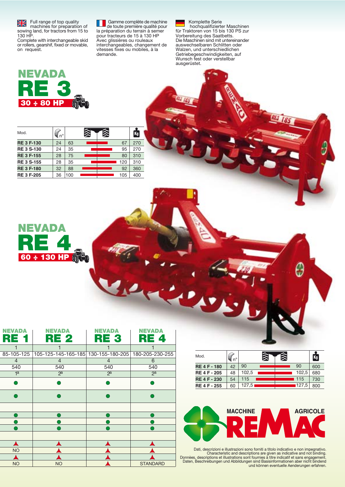$\sum$  Full range of top quality machines for preparation of sowing land, for tractors from 15 to 130 HP. Complete with interchangeable skid or rollers, gearshif, fixed or movable,

on request.

**Gamme complète de machine** de toute première qualité pour la préparation du terrain à semer pour tracteurs de 15 à 130 HP Avec glissières ou rouleaux interchangeables, changement de vitesses fixes ou mobiles, à la demande.

**Komplette Serie** hochqualifizierter Maschinen für Traktoren von 15 bis 130 PS zur Vorbereitung des Saatbetts. Die Maschinen sind mit untereinander auswechselbaren Schlitten oder Walzen, und unterschiedlichen Getriebegeschwindigkeiten, auf Wunsch fest oder verstellbar ausgerüstet.



| Mod.              | $\P$ n $^{\circ}$ |     | 爻 | 刭   | Kg  |
|-------------------|-------------------|-----|---|-----|-----|
| <b>RE 3 F-130</b> | 24                | 63  |   | 67  | 270 |
| <b>RE 3 S-130</b> | 24                | 35  |   | 95  | 270 |
| <b>RE 3 F-155</b> | 28                | 75  |   | 80  | 310 |
| <b>RE 3 S-155</b> | 28                | 35  |   | 120 | 310 |
| <b>RE 3 F-180</b> | 32                | 88  |   | 92  | 360 |
| <b>RE 3 F-205</b> | 36                | 100 |   | 105 | 400 |



| <b>NEVADA</b><br>RE | <b>NEVADA</b><br>RE 2               | <b>NEVADA</b><br>RE 3 | NEVADA<br>RE 4  |
|---------------------|-------------------------------------|-----------------------|-----------------|
|                     |                                     |                       |                 |
| 85-105-125          | 105-125-145-165-185 130-155-180-205 |                       | 180-205-230-255 |
| $\overline{4}$      | 4                                   | 4                     | 6               |
| 540                 | 540                                 | 540                   | 540             |
| 1 <sup>a</sup>      | 2 <sup>a</sup>                      | 2 <sup>a</sup>        | 2 <sup>a</sup>  |
|                     |                                     |                       |                 |
|                     |                                     |                       |                 |
|                     |                                     |                       |                 |
|                     |                                     |                       |                 |
|                     |                                     |                       |                 |
|                     |                                     |                       |                 |
|                     |                                     |                       |                 |
| А                   |                                     |                       |                 |
| <b>NO</b>           |                                     |                       |                 |
|                     |                                     |                       |                 |
| <b>NO</b>           | <b>NO</b>                           |                       | <b>STANDARD</b> |

| Mod.                | $n^{\circ}$ |        | 灸     | Kg  |
|---------------------|-------------|--------|-------|-----|
| <b>RE4F-180</b>     | 42          | 90     | 90    | 600 |
| <b>RE4F-205</b>     | 48          | 102.5  | 102,5 | 680 |
| <b>RE4F-230</b>     | 54          | 115    | 115   | 730 |
| <b>RE 4 F - 255</b> | 60          | 127,51 | 127,5 | 800 |



Dati, descrizioni e illustrazioni sono forniti a titolo indicativo e non impegnativo.<br>Characteristic and descriptions are given as indicative and not binding.<br>Donnèes, descriptions et illustrations sont fournies à titre in und können eventuelle Aenderungen erfahren.